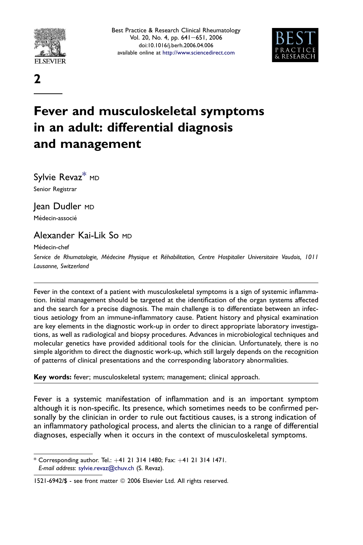

2



# Fever and musculoskeletal symptoms in an adult: differential diagnosis and management

Sylvie Revaz\* MD Senior Registrar

Jean Dudler MD

Médecin-associé

## Alexander Kai-Lik So MD

#### Médecin-chef

Service de Rhumatologie, Médecine Physique et Réhabilitation, Centre Hospitalier Universitaire Vaudois, 1011 Lausanne, Switzerland

Fever in the context of a patient with musculoskeletal symptoms is a sign of systemic inflammation. Initial management should be targeted at the identification of the organ systems affected and the search for a precise diagnosis. The main challenge is to differentiate between an infectious aetiology from an immune-inflammatory cause. Patient history and physical examination are key elements in the diagnostic work-up in order to direct appropriate laboratory investigations, as well as radiological and biopsy procedures. Advances in microbiological techniques and molecular genetics have provided additional tools for the clinician. Unfortunately, there is no simple algorithm to direct the diagnostic work-up, which still largely depends on the recognition of patterns of clinical presentations and the corresponding laboratory abnormalities.

#### Key words: fever; musculoskeletal system; management; clinical approach.

Fever is a systemic manifestation of inflammation and is an important symptom although it is non-specific. Its presence, which sometimes needs to be confirmed personally by the clinician in order to rule out factitious causes, is a strong indication of an inflammatory pathological process, and alerts the clinician to a range of differential diagnoses, especially when it occurs in the context of musculoskeletal symptoms.

<sup>\*</sup> Corresponding author. Tel.:  $+41$  21 314 1480; Fax:  $+41$  21 314 1471. E-mail address: [sylvie.revaz@chuv.ch](mailto:sylvie.revaz@chuv.ch) (S. Revaz).

<sup>1521-6942/\$ -</sup> see front matter © 2006 Elsevier Ltd. All rights reserved.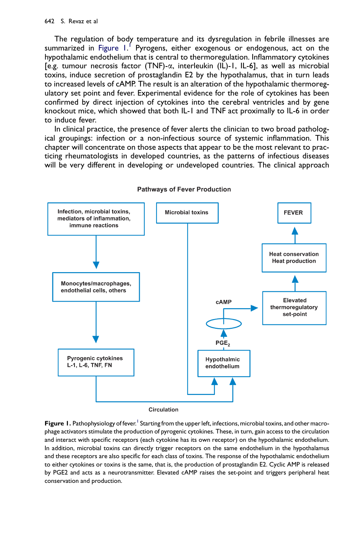The regulation of body temperature and its dysregulation in febrile illnesses are summarized in Figure [1](#page-9-0).<sup>1</sup> Pyrogens, either exogenous or endogenous, act on the hypothalamic endothelium that is central to thermoregulation. Inflammatory cytokines [e.g. tumour necrosis factor (TNF)-*a*, interleukin (IL)-1, IL-6], as well as microbial toxins, induce secretion of prostaglandin E2 by the hypothalamus, that in turn leads to increased levels of cAMP. The result is an alteration of the hypothalamic thermoregulatory set point and fever. Experimental evidence for the role of cytokines has been confirmed by direct injection of cytokines into the cerebral ventricles and by gene knockout mice, which showed that both IL-1 and TNF act proximally to IL-6 in order to induce fever.

In clinical practice, the presence of fever alerts the clinician to two broad pathological groupings: infection or a non-infectious source of systemic inflammation. This chapter will concentrate on those aspects that appear to be the most relevant to practicing rheumatologists in developed countries, as the patterns of infectious diseases will be very different in developing or undeveloped countries. The clinical approach



**Pathways of Fever Production** 

Circulation

Figure [1](#page-9-0). Pathophysiology of fever.<sup>1</sup> Starting from the upper left, infections, microbial toxins, and other macrophage activators stimulate the production of pyrogenic cytokines. These, in turn, gain access to the circulation and interact with specific receptors (each cytokine has its own receptor) on the hypothalamic endothelium. In addition, microbial toxins can directly trigger receptors on the same endothelium in the hypothalamus and these receptors are also specific for each class of toxins. The response of the hypothalamic endothelium to either cytokines or toxins is the same, that is, the production of prostaglandin E2. Cyclic AMP is released by PGE2 and acts as a neurotransmitter. Elevated cAMP raises the set-point and triggers peripheral heat conservation and production.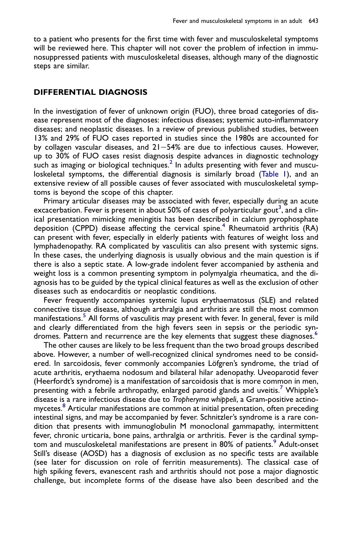to a patient who presents for the first time with fever and musculoskeletal symptoms will be reviewed here. This chapter will not cover the problem of infection in immunosuppressed patients with musculoskeletal diseases, although many of the diagnostic steps are similar.

#### DIFFERENTIAL DIAGNOSIS

In the investigation of fever of unknown origin (FUO), three broad categories of disease represent most of the diagnoses: infectious diseases; systemic auto-inflammatory diseases; and neoplastic diseases. In a review of previous published studies, between 13% and 29% of FUO cases reported in studies since the 1980s are accounted for by collagen vascular diseases, and  $21-54%$  are due to infectious causes. However, up to 30% of FUO cases resist diagnosis despite advances in diagnostic technology such as imaging or biological techniques.<sup>[2](#page-9-0)</sup> In adults presenting with fever and musculoskeletal symptoms, the differential diagnosis is similarly broad [\(Table 1](#page-3-0)), and an extensive review of all possible causes of fever associated with musculoskeletal symptoms is beyond the scope of this chapter.

Primary articular diseases may be associated with fever, especially during an acute excacerbation. Fever is present in about 50% of cases of polyarticular gout<sup>[3](#page-9-0)</sup>, and a clinical presentation mimicking meningitis has been described in calcium pyrophosphate deposition (CPPD) disease affecting the cervical spine.<sup>[4](#page-9-0)</sup> Rheumatoid arthritis (RA) can present with fever, especially in elderly patients with features of weight loss and lymphadenopathy. RA complicated by vasculitis can also present with systemic signs. In these cases, the underlying diagnosis is usually obvious and the main question is if there is also a septic state. A low-grade indolent fever accompanied by asthenia and weight loss is a common presenting symptom in polymyalgia rheumatica, and the diagnosis has to be guided by the typical clinical features as well as the exclusion of other diseases such as endocarditis or neoplastic conditions.

Fever frequently accompanies systemic lupus erythaematosus (SLE) and related connective tissue disease, although arthralgia and arthritis are still the most common manifestations.<sup>[5](#page-9-0)</sup> All forms of vasculitis may present with fever. In general, fever is mild and clearly differentiated from the high fevers seen in sepsis or the periodic syn-dromes. Pattern and recurrence are the key elements that suggest these diagnoses.<sup>[6](#page-9-0)</sup>

The other causes are likely to be less frequent than the two broad groups described above. However, a number of well-recognized clinical syndromes need to be considered. In sarcoidosis, fever commonly accompanies Löfgren's syndrome, the triad of acute arthritis, erythaema nodosum and bilateral hilar adenopathy. Uveoparotid fever (Heerfordt's syndrome) is a manifestation of sarcoidosis that is more common in men, presenting with a febrile arthropathy, enlarged parotid glands and uveitis.<sup>[7](#page-9-0)</sup> Whipple's disease is a rare infectious disease due to Tropheryma whippeli, a Gram-positive actino-mycetes.<sup>[8](#page-9-0)</sup> Articular manifestations are common at initial presentation, often preceding intestinal signs, and may be accompanied by fever. Schnitzler's syndrome is a rare condition that presents with immunoglobulin M monoclonal gammapathy, intermittent fever, chronic urticaria, bone pains, arthralgia or arthritis. Fever is the cardinal symp-tom and musculoskeletal manifestations are present in 80% of patients.<sup>[9](#page-9-0)</sup> Adult-onset Still's disease (AOSD) has a diagnosis of exclusion as no specific tests are available (see later for discussion on role of ferritin measurements). The classical case of high spiking fevers, evanescent rash and arthritis should not pose a major diagnostic challenge, but incomplete forms of the disease have also been described and the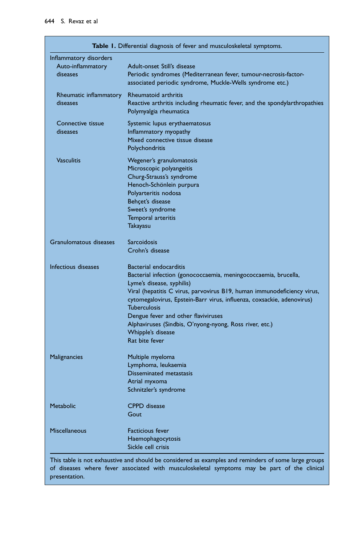<span id="page-3-0"></span>Inflammatory disorders Auto-inflammatory diseases Adult-onset Still's disease Periodic syndromes (Mediterranean fever, tumour-necrosis-factorassociated periodic syndrome, Muckle-Wells syndrome etc.) Rheumatic inflammatory diseases Rheumatoid arthritis Reactive arthritis including rheumatic fever, and the spondylarthropathies Polymyalgia rheumatica Connective tissue diseases Systemic lupus erythaematosus Inflammatory myopathy Mixed connective tissue disease Polychondritis Vasculitis Wegener's granulomatosis Microscopic polyangeitis Churg-Strauss's syndrome Henoch-Schönlein purpura Polyarteritis nodosa Behcet's disease Sweet's syndrome Temporal arteritis Takayasu Granulomatous diseases Sarcoidosis Crohn's disease Infectious diseases Bacterial endocarditis Bacterial infection (gonococcaemia, meningococcaemia, brucella, Lyme's disease, syphilis) Viral (hepatitis C virus, parvovirus B19, human immunodeficiency virus, cytomegalovirus, Epstein-Barr virus, influenza, coxsackie, adenovirus) Tuberculosis Dengue fever and other flaviviruses Alphaviruses (Sindbis, O'nyong-nyong, Ross river, etc.) Whipple's disease Rat bite fever Malignancies Multiple myeloma Lymphoma, leukaemia Disseminated metastasis Atrial myxoma Schnitzler's syndrome Metabolic CPPD disease **Gout** Miscellaneous Facticious fever Haemophagocytosis Sickle cell crisis This table is not exhaustive and should be considered as examples and reminders of some large groups

Table 1. Differential diagnosis of fever and musculoskeletal symptoms.

of diseases where fever associated with musculoskeletal symptoms may be part of the clinical presentation.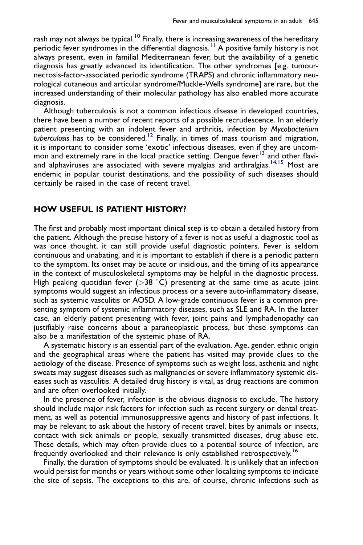rash may not always be typical.<sup>[10](#page-10-0)</sup> Finally, there is increasing awareness of the hereditary periodic fever syndromes in the differential diagnosis.<sup>[11](#page-10-0)</sup> A positive family history is not always present, even in familial Mediterranean fever, but the availability of a genetic diagnosis has greatly advanced its identification. The other syndromes [e.g. tumournecrosis-factor-associated periodic syndrome (TRAPS) and chronic inflammatory neurological cutaneous and articular syndrome/Muckle-Wells syndrome] are rare, but the increased understanding of their molecular pathology has also enabled more accurate diagnosis.

Although tuberculosis is not a common infectious disease in developed countries, there have been a number of recent reports of a possible recrudescence. In an elderly patient presenting with an indolent fever and arthritis, infection by Mycobacterium tuberculosis has to be considered.<sup>[12](#page-10-0)</sup> Finally, in times of mass tourism and migration, it is important to consider some 'exotic' infectious diseases, even if they are uncom-mon and extremely rare in the local practice setting. Dengue fever<sup>[13](#page-10-0)</sup> and other flavi-and alphaviruses are associated with severe myalgias and arthralgias.<sup>[14,15](#page-10-0)</sup> Most are endemic in popular tourist destinations, and the possibility of such diseases should certainly be raised in the case of recent travel.

#### HOW USEFUL IS PATIENT HISTORY?

The first and probably most important clinical step is to obtain a detailed history from the patient. Although the precise history of a fever is not as useful a diagnostic tool as was once thought, it can still provide useful diagnostic pointers. Fever is seldom continuous and unabating, and it is important to establish if there is a periodic pattern to the symptom. Its onset may be acute or insidious, and the timing of its appearance in the context of musculoskeletal symptoms may be helpful in the diagnostic process. High peaking quotidian fever ( $>38$  °C) presenting at the same time as acute joint symptoms would suggest an infectious process or a severe auto-inflammatory disease, such as systemic vasculitis or AOSD. A low-grade continuous fever is a common presenting symptom of systemic inflammatory diseases, such as SLE and RA. In the latter case, an elderly patient presenting with fever, joint pains and lymphadenopathy can justifiably raise concerns about a paraneoplastic process, but these symptoms can also be a manifestation of the systemic phase of RA.

A systematic history is an essential part of the evaluation. Age, gender, ethnic origin and the geographical areas where the patient has visited may provide clues to the aetiology of the disease. Presence of symptoms such as weight loss, asthenia and night sweats may suggest diseases such as malignancies or severe inflammatory systemic diseases such as vasculitis. A detailed drug history is vital, as drug reactions are common and are often overlooked initially.

In the presence of fever, infection is the obvious diagnosis to exclude. The history should include major risk factors for infection such as recent surgery or dental treatment, as well as potential immunosuppressive agents and history of past infections. It may be relevant to ask about the history of recent travel, bites by animals or insects, contact with sick animals or people, sexually transmitted diseases, drug abuse etc. These details, which may often provide clues to a potential source of infection, are frequently overlooked and their relevance is only established retrospectively.<sup>16</sup>

Finally, the duration of symptoms should be evaluated. It is unlikely that an infection would persist for months or years without some other localizing symptoms to indicate the site of sepsis. The exceptions to this are, of course, chronic infections such as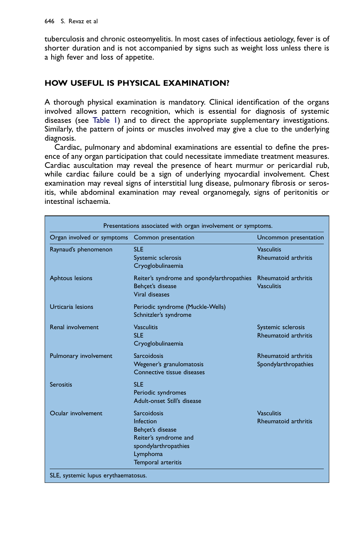tuberculosis and chronic osteomyelitis. In most cases of infectious aetiology, fever is of shorter duration and is not accompanied by signs such as weight loss unless there is a high fever and loss of appetite.

## HOW USEFUL IS PHYSICAL EXAMINATION?

A thorough physical examination is mandatory. Clinical identification of the organs involved allows pattern recognition, which is essential for diagnosis of systemic diseases (see [Table 1](#page-3-0)) and to direct the appropriate supplementary investigations. Similarly, the pattern of joints or muscles involved may give a clue to the underlying diagnosis.

Cardiac, pulmonary and abdominal examinations are essential to define the presence of any organ participation that could necessitate immediate treatment measures. Cardiac auscultation may reveal the presence of heart murmur or pericardial rub, while cardiac failure could be a sign of underlying myocardial involvement. Chest examination may reveal signs of interstitial lung disease, pulmonary fibrosis or serositis, while abdominal examination may reveal organomegaly, signs of peritonitis or intestinal ischaemia.

| Organ involved or symptoms  Common presentation |                                                                                                                                 | Uncommon presentation                        |
|-------------------------------------------------|---------------------------------------------------------------------------------------------------------------------------------|----------------------------------------------|
| Raynaud's phenomenon                            | SLE<br>Systemic sclerosis<br>Cryoglobulinaemia                                                                                  | <b>Vasculitis</b><br>Rheumatoid arthritis    |
| Aphtous lesions                                 | Reiter's syndrome and spondylarthropathies<br>Behçet's disease<br>Viral diseases                                                | Rheumatoid arthritis<br><b>Vasculitis</b>    |
| Urticaria lesions                               | Periodic syndrome (Muckle-Wells)<br>Schnitzler's syndrome                                                                       |                                              |
| Renal involvement                               | <b>Vasculitis</b><br>SLE.<br>Cryoglobulinaemia                                                                                  | Systemic sclerosis<br>Rheumatoid arthritis   |
| Pulmonary involvement                           | Sarcoidosis<br>Wegener's granulomatosis<br>Connective tissue diseases                                                           | Rheumatoid arthritis<br>Spondylarthropathies |
| <b>Serositis</b>                                | SLE<br>Periodic syndromes<br>Adult-onset Still's disease                                                                        |                                              |
| Ocular involvement                              | Sarcoidosis<br>Infection<br>Behcet's disease<br>Reiter's syndrome and<br>spondylarthropathies<br>Lymphoma<br>Temporal arteritis | <b>Vasculitis</b><br>Rheumatoid arthritis    |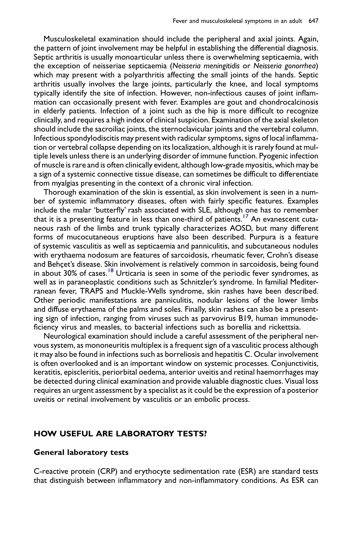Musculoskeletal examination should include the peripheral and axial joints. Again, the pattern of joint involvement may be helpful in establishing the differential diagnosis. Septic arthritis is usually monoarticular unless there is overwhelming septicaemia, with the exception of neisseriae septicaemia (Neisseria meningitidis or Neisseria gonorrhea) which may present with a polyarthritis affecting the small joints of the hands. Septic arthritis usually involves the large joints, particularly the knee, and local symptoms typically identify the site of infection. However, non-infectious causes of joint inflammation can occasionally present with fever. Examples are gout and chondrocalcinosis in elderly patients. Infection of a joint such as the hip is more difficult to recognize clinically, and requires a high index of clinical suspicion. Examination of the axial skeleton should include the sacroiliac joints, the sternoclavicular joints and the vertebral column. Infectious spondylodiscitis may present with radicular symptoms, signs of local inflammation or vertebral collapse depending on its localization, although it is rarely found at multiple levels unless there is an underlying disorder of immune function. Pyogenic infection of muscle is rare and is often clinically evident, although low-grade myositis, which may be a sign of a systemic connective tissue disease, can sometimes be difficult to differentiate from myalgias presenting in the context of a chronic viral infection.

Thorough examination of the skin is essential, as skin involvement is seen in a number of systemic inflammatory diseases, often with fairly specific features. Examples include the malar 'butterfly' rash associated with SLE, although one has to remember that it is a presenting feature in less than one-third of patients.<sup>[17](#page-10-0)</sup> An evanescent cutaneous rash of the limbs and trunk typically characterizes AOSD, but many different forms of mucocutaneous eruptions have also been described. Purpura is a feature of systemic vasculitis as well as septicaemia and panniculitis, and subcutaneous nodules with erythaema nodosum are features of sarcoidosis, rheumatic fever, Crohn's disease and Behçet's disease. Skin involvement is relatively common in sarcoidosis, being found in about 30% of cases.<sup>[18](#page-10-0)</sup> Urticaria is seen in some of the periodic fever syndromes, as well as in paraneoplastic conditions such as Schnitzler's syndrome. In familial Mediterranean fever, TRAPS and Muckle-Wells syndrome, skin rashes have been described. Other periodic manifestations are panniculitis, nodular lesions of the lower limbs and diffuse erythaema of the palms and soles. Finally, skin rashes can also be a presenting sign of infection, ranging from viruses such as parvovirus B19, human immunodeficiency virus and measles, to bacterial infections such as borellia and rickettsia.

Neurological examination should include a careful assessment of the peripheral nervous system, as mononeuritis multiplex is a frequent sign of a vasculitic process although it may also be found in infections such as borreliosis and hepatitis C. Ocular involvement is often overlooked and is an important window on systemic processes. Conjunctivitis, keratitis, episcleritis, periorbital oedema, anterior uveitis and retinal haemorrhages may be detected during clinical examination and provide valuable diagnostic clues. Visual loss requires an urgent assessment by a specialist as it could be the expression of a posterior uveitis or retinal involvement by vasculitis or an embolic process.

#### HOW USEFUL ARE LABORATORY TESTS?

#### General laboratory tests

C-reactive protein (CRP) and erythocyte sedimentation rate (ESR) are standard tests that distinguish between inflammatory and non-inflammatory conditions. As ESR can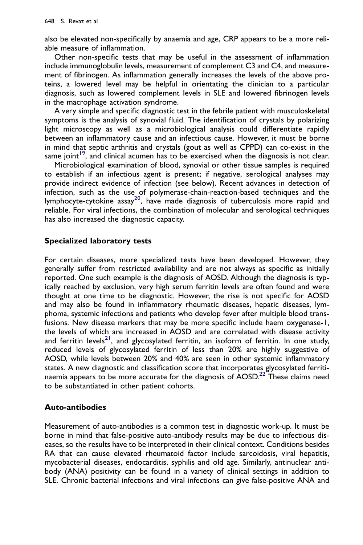also be elevated non-specifically by anaemia and age, CRP appears to be a more reliable measure of inflammation.

Other non-specific tests that may be useful in the assessment of inflammation include immunoglobulin levels, measurement of complement C3 and C4, and measurement of fibrinogen. As inflammation generally increases the levels of the above proteins, a lowered level may be helpful in orientating the clinician to a particular diagnosis, such as lowered complement levels in SLE and lowered fibrinogen levels in the macrophage activation syndrome.

A very simple and specific diagnostic test in the febrile patient with musculoskeletal symptoms is the analysis of synovial fluid. The identification of crystals by polarizing light microscopy as well as a microbiological analysis could differentiate rapidly between an inflammatory cause and an infectious cause. However, it must be borne in mind that septic arthritis and crystals (gout as well as CPPD) can co-exist in the same joint<sup>19</sup>, and clinical acumen has to be exercised when the diagnosis is not clear.

Microbiological examination of blood, synovial or other tissue samples is required to establish if an infectious agent is present; if negative, serological analyses may provide indirect evidence of infection (see below). Recent advances in detection of infection, such as the use of polymerase-chain-reaction-based techniques and the lymphocyte-cytokine assay<sup>20</sup>, have made diagnosis of tuberculosis more rapid and reliable. For viral infections, the combination of molecular and serological techniques has also increased the diagnostic capacity.

#### Specialized laboratory tests

For certain diseases, more specialized tests have been developed. However, they generally suffer from restricted availability and are not always as specific as initially reported. One such example is the diagnosis of AOSD. Although the diagnosis is typically reached by exclusion, very high serum ferritin levels are often found and were thought at one time to be diagnostic. However, the rise is not specific for AOSD and may also be found in inflammatory rheumatic diseases, hepatic diseases, lymphoma, systemic infections and patients who develop fever after multiple blood transfusions. New disease markers that may be more specific include haem oxygenase-1, the levels of which are increased in AOSD and are correlated with disease activity and ferritin levels<sup>[21](#page-10-0)</sup>, and glycosylated ferritin, an isoform of ferritin. In one study, reduced levels of glycosylated ferritin of less than 20% are highly suggestive of AOSD, while levels between 20% and 40% are seen in other systemic inflammatory states. A new diagnostic and classification score that incorporates glycosylated ferritinaemia appears to be more accurate for the diagnosis of  $\text{AOSD.}^{22}$  $\text{AOSD.}^{22}$  $\text{AOSD.}^{22}$  These claims need to be substantiated in other patient cohorts.

#### Auto-antibodies

Measurement of auto-antibodies is a common test in diagnostic work-up. It must be borne in mind that false-positive auto-antibody results may be due to infectious diseases, so the results have to be interpreted in their clinical context. Conditions besides RA that can cause elevated rheumatoid factor include sarcoidosis, viral hepatitis, mycobacterial diseases, endocarditis, syphilis and old age. Similarly, antinuclear antibody (ANA) positivity can be found in a variety of clinical settings in addition to SLE. Chronic bacterial infections and viral infections can give false-positive ANA and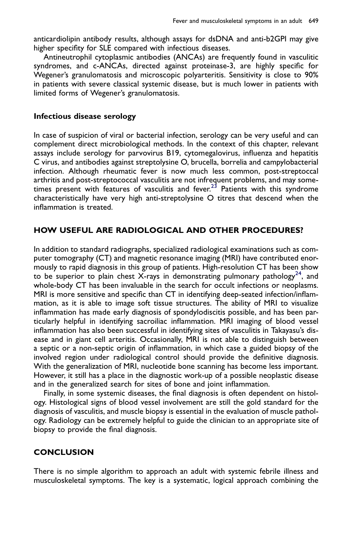anticardiolipin antibody results, although assays for dsDNA and anti-b2GPI may give higher specifity for SLE compared with infectious diseases.

Antineutrophil cytoplasmic antibodies (ANCAs) are frequently found in vasculitic syndromes, and c-ANCAs, directed against proteinase-3, are highly specific for Wegener's granulomatosis and microscopic polyarteritis. Sensitivity is close to 90% in patients with severe classical systemic disease, but is much lower in patients with limited forms of Wegener's granulomatosis.

#### Infectious disease serology

In case of suspicion of viral or bacterial infection, serology can be very useful and can complement direct microbiological methods. In the context of this chapter, relevant assays include serology for parvovirus B19, cytomegalovirus, influenza and hepatitis C virus, and antibodies against streptolysine O, brucella, borrelia and campylobacterial infection. Although rheumatic fever is now much less common, post-streptoccal arthritis and post-streptococcal vasculitis are not infrequent problems, and may some-times present with features of vasculitis and fever.<sup>[23](#page-10-0)</sup> Patients with this syndrome characteristically have very high anti-streptolysine O titres that descend when the inflammation is treated.

#### HOW USEFUL ARE RADIOLOGICAL AND OTHER PROCEDURES?

In addition to standard radiographs, specialized radiological examinations such as computer tomography (CT) and magnetic resonance imaging (MRI) have contributed enormously to rapid diagnosis in this group of patients. High-resolution CT has been show to be superior to plain chest X-rays in demonstrating pulmonary pathology<sup>[24](#page-10-0)</sup>, and whole-body CT has been invaluable in the search for occult infections or neoplasms. MRI is more sensitive and specific than CT in identifying deep-seated infection/inflammation, as it is able to image soft tissue structures. The ability of MRI to visualize inflammation has made early diagnosis of spondylodiscitis possible, and has been particularly helpful in identifying sacroiliac inflammation. MRI imaging of blood vessel inflammation has also been successful in identifying sites of vasculitis in Takayasu's disease and in giant cell arteritis. Occasionally, MRI is not able to distinguish between a septic or a non-septic origin of inflammation, in which case a guided biopsy of the involved region under radiological control should provide the definitive diagnosis. With the generalization of MRI, nucleotide bone scanning has become less important. However, it still has a place in the diagnostic work-up of a possible neoplastic disease and in the generalized search for sites of bone and joint inflammation.

Finally, in some systemic diseases, the final diagnosis is often dependent on histology. Histological signs of blood vessel involvement are still the gold standard for the diagnosis of vasculitis, and muscle biopsy is essential in the evaluation of muscle pathology. Radiology can be extremely helpful to guide the clinician to an appropriate site of biopsy to provide the final diagnosis.

#### **CONCLUSION**

There is no simple algorithm to approach an adult with systemic febrile illness and musculoskeletal symptoms. The key is a systematic, logical approach combining the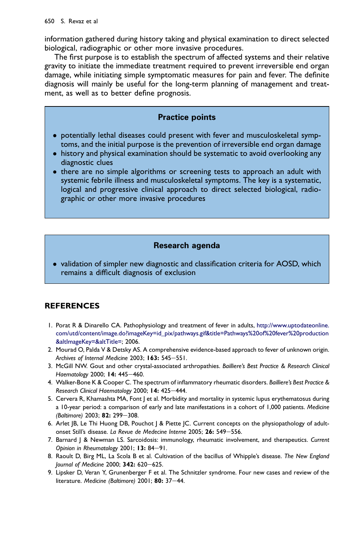<span id="page-9-0"></span>information gathered during history taking and physical examination to direct selected biological, radiographic or other more invasive procedures.

The first purpose is to establish the spectrum of affected systems and their relative gravity to initiate the immediate treatment required to prevent irreversible end organ damage, while initiating simple symptomatic measures for pain and fever. The definite diagnosis will mainly be useful for the long-term planning of management and treatment, as well as to better define prognosis.

### Practice points

- potentially lethal diseases could present with fever and musculoskeletal symptoms, and the initial purpose is the prevention of irreversible end organ damage
- $\bullet\;$  history and physical examination should be systematic to avoid overlooking any diagnostic clues
- there are no simple algorithms or screening tests to approach an adult with systemic febrile illness and musculoskeletal symptoms. The key is a systematic, logical and progressive clinical approach to direct selected biological, radiographic or other more invasive procedures

## Research agenda

- validation of simpler new diagnostic and classification criteria for AOSD, which remains a difficult diagnosis of exclusion

## **REFERENCES**

- 1. Porat R & Dinarello CA. Pathophysiology and treatment of fever in adults, [http://www.uptodateonline.](http://www.uptodateonline.com/utd/content/image.do?imageKey=id_pix/pathways.gif&title=Pathways%20of%20fever%20production&altImageKey=&altTitle=) [com/utd/content/image.do?imageKey=id\\_pix/pathways.gif&title=Pathways%20of%20fever%20production](http://www.uptodateonline.com/utd/content/image.do?imageKey=id_pix/pathways.gif&title=Pathways%20of%20fever%20production&altImageKey=&altTitle=) [&altImageKey=&altTitle=](http://www.uptodateonline.com/utd/content/image.do?imageKey=id_pix/pathways.gif&title=Pathways%20of%20fever%20production&altImageKey=&altTitle=); 2006.
- 2. Mourad O, Palda V & Detsky AS. A comprehensive evidence-based approach to fever of unknown origin. Archives of Internal Medicine 2003; 163: 545-551.
- 3. McGill NW. Gout and other crystal-associated arthropathies. Bailliere's Best Practice & Research Clinical Haematology 2000; 14:  $445-460$ .
- 4. Walker-Bone K & Cooper C. The spectrum of inflammatory rheumatic disorders. Bailliere's Best Practice & Research Clinical Haematology 2000; 14: 425-444.
- 5. Cervera R, Khamashta MA, Font J et al. Morbidity and mortality in systemic lupus erythematosus during a 10-year period: a comparison of early and late manifestations in a cohort of 1,000 patients. Medicine (Baltimore) 2003; 82: 299-308.
- 6. Arlet JB, Le Thi Huong DB, Pouchot J & Piette JC. Current concepts on the physiopathology of adultonset Still's disease. La Revue de Medecine Interne 2005; 26: 549-556.
- 7. Barnard J & Newman LS. Sarcoidosis: immunology, rheumatic involvement, and therapeutics. Current Opinion in Rheumatology 2001; 13: 84-91.
- 8. Raoult D, Birg ML, La Scola B et al. Cultivation of the bacillus of Whipple's disease. The New England Journal of Medicine 2000; 342: 620-625.
- 9. Lipsker D, Veran Y, Grunenberger F et al. The Schnitzler syndrome. Four new cases and review of the literature. Medicine (Baltimore) 2001; 80: 37-44.